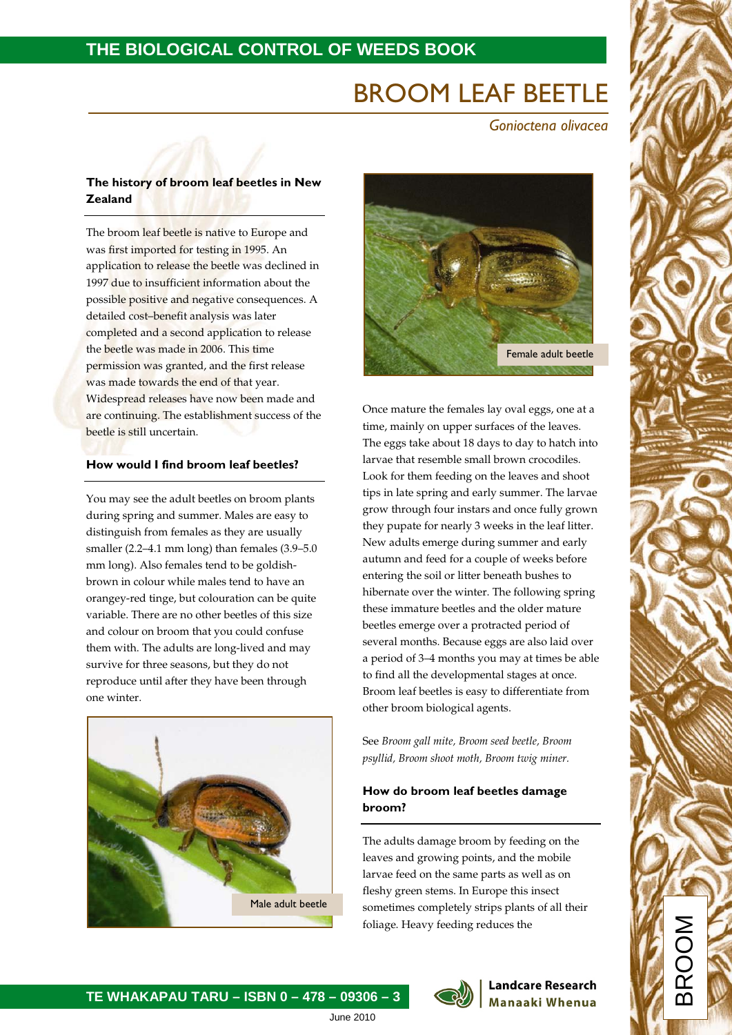# BROOM LEAF BEETLE

 *Gonioctena olivacea*

# **The history of broom leaf beetles in New Zealand**

The broom leaf beetle is native to Europe and was first imported for testing in 1995. An application to release the beetle was declined in 1997 due to insufficient information about the possible positive and negative consequences. A detailed cost–benefit analysis was later completed and a second application to release the beetle was made in 2006. This time permission was granted, and the first release was made towards the end of that year. Widespread releases have now been made and are continuing. The establishment success of the beetle is still uncertain.

## **How would I find broom leaf beetles?**

You may see the adult beetles on broom plants during spring and summer. Males are easy to distinguish from females as they are usually smaller (2.2–4.1 mm long) than females (3.9–5.0 mm long). Also females tend to be goldishbrown in colour while males tend to have an orangey-red tinge, but colouration can be quite variable. There are no other beetles of this size and colour on broom that you could confuse them with. The adults are long-lived and may survive for three seasons, but they do not reproduce until after they have been through one winter.





Once mature the females lay oval eggs, one at a time, mainly on upper surfaces of the leaves. The eggs take about 18 days to day to hatch into larvae that resemble small brown crocodiles. Look for them feeding on the leaves and shoot tips in late spring and early summer. The larvae grow through four instars and once fully grown they pupate for nearly 3 weeks in the leaf litter. New adults emerge during summer and early autumn and feed for a couple of weeks before entering the soil or litter beneath bushes to hibernate over the winter. The following spring these immature beetles and the older mature beetles emerge over a protracted period of several months. Because eggs are also laid over a period of 3–4 months you may at times be able to find all the developmental stages at once. Broom leaf beetles is easy to differentiate from other broom biological agents.

See *Broom gall mite, Broom seed beetle, Broom psyllid, Broom shoot moth, Broom twig miner.*

# **How do broom leaf beetles damage broom?**

The adults damage broom by feeding on the leaves and growing points, and the mobile larvae feed on the same parts as well as on fleshy green stems. In Europe this insect sometimes completely strips plants of all their foliage. Heavy feeding reduces the

> **Landcare Research Manaaki Whenua**

BROOM